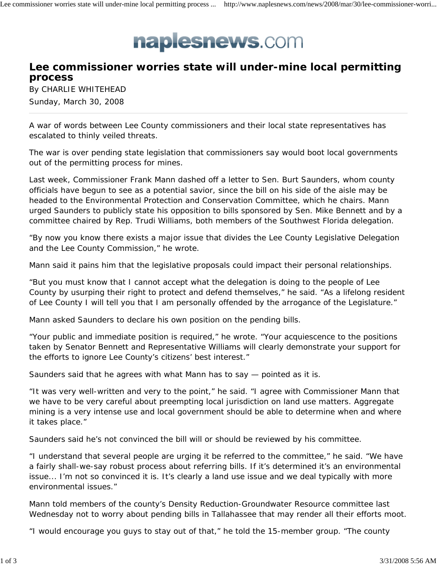## naplesnews.com

## **Lee commissioner worries state will under-mine local permitting process**

By CHARLIE WHITEHEAD Sunday, March 30, 2008

A war of words between Lee County commissioners and their local state representatives has escalated to thinly veiled threats.

The war is over pending state legislation that commissioners say would boot local governments out of the permitting process for mines.

Last week, Commissioner Frank Mann dashed off a letter to Sen. Burt Saunders, whom county officials have begun to see as a potential savior, since the bill on his side of the aisle may be headed to the Environmental Protection and Conservation Committee, which he chairs. Mann urged Saunders to publicly state his opposition to bills sponsored by Sen. Mike Bennett and by a committee chaired by Rep. Trudi Williams, both members of the Southwest Florida delegation.

"By now you know there exists a major issue that divides the Lee County Legislative Delegation and the Lee County Commission," he wrote.

Mann said it pains him that the legislative proposals could impact their personal relationships.

"But you must know that I cannot accept what the delegation is doing to the people of Lee County by usurping their right to protect and defend themselves," he said. "As a lifelong resident of Lee County I will tell you that I am personally offended by the arrogance of the Legislature."

Mann asked Saunders to declare his own position on the pending bills.

"Your public and immediate position is required," he wrote. "Your acquiescence to the positions taken by Senator Bennett and Representative Williams will clearly demonstrate your support for the efforts to ignore Lee County's citizens' best interest."

Saunders said that he agrees with what Mann has to say — pointed as it is.

"It was very well-written and very to the point," he said. "I agree with Commissioner Mann that we have to be very careful about preempting local jurisdiction on land use matters. Aggregate mining is a very intense use and local government should be able to determine when and where it takes place."

Saunders said he's not convinced the bill will or should be reviewed by his committee.

"I understand that several people are urging it be referred to the committee," he said. "We have a fairly shall-we-say robust process about referring bills. If it's determined it's an environmental issue... I'm not so convinced it is. It's clearly a land use issue and we deal typically with more environmental issues."

Mann told members of the county's Density Reduction-Groundwater Resource committee last Wednesday not to worry about pending bills in Tallahassee that may render all their efforts moot.

"I would encourage you guys to stay out of that," he told the 15-member group. "The county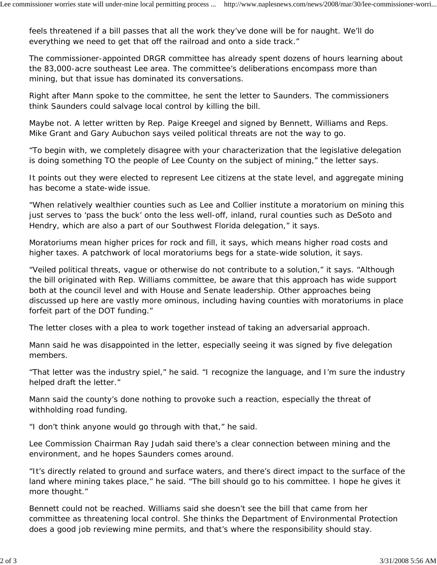feels threatened if a bill passes that all the work they've done will be for naught. We'll do everything we need to get that off the railroad and onto a side track."

The commissioner-appointed DRGR committee has already spent dozens of hours learning about the 83,000-acre southeast Lee area. The committee's deliberations encompass more than mining, but that issue has dominated its conversations.

Right after Mann spoke to the committee, he sent the letter to Saunders. The commissioners think Saunders could salvage local control by killing the bill.

Maybe not. A letter written by Rep. Paige Kreegel and signed by Bennett, Williams and Reps. Mike Grant and Gary Aubuchon says veiled political threats are not the way to go.

"To begin with, we completely disagree with your characterization that the legislative delegation is doing something TO the people of Lee County on the subject of mining," the letter says.

It points out they were elected to represent Lee citizens at the state level, and aggregate mining has become a state-wide issue.

"When relatively wealthier counties such as Lee and Collier institute a moratorium on mining this just serves to 'pass the buck' onto the less well-off, inland, rural counties such as DeSoto and Hendry, which are also a part of our Southwest Florida delegation," it says.

Moratoriums mean higher prices for rock and fill, it says, which means higher road costs and higher taxes. A patchwork of local moratoriums begs for a state-wide solution, it says.

"Veiled political threats, vague or otherwise do not contribute to a solution," it says. "Although the bill originated with Rep. Williams committee, be aware that this approach has wide support both at the council level and with House and Senate leadership. Other approaches being discussed up here are vastly more ominous, including having counties with moratoriums in place forfeit part of the DOT funding."

The letter closes with a plea to work together instead of taking an adversarial approach.

Mann said he was disappointed in the letter, especially seeing it was signed by five delegation members.

"That letter was the industry spiel," he said. "I recognize the language, and I'm sure the industry helped draft the letter."

Mann said the county's done nothing to provoke such a reaction, especially the threat of withholding road funding.

"I don't think anyone would go through with that," he said.

Lee Commission Chairman Ray Judah said there's a clear connection between mining and the environment, and he hopes Saunders comes around.

"It's directly related to ground and surface waters, and there's direct impact to the surface of the land where mining takes place," he said. "The bill should go to his committee. I hope he gives it more thought."

Bennett could not be reached. Williams said she doesn't see the bill that came from her committee as threatening local control. She thinks the Department of Environmental Protection does a good job reviewing mine permits, and that's where the responsibility should stay.